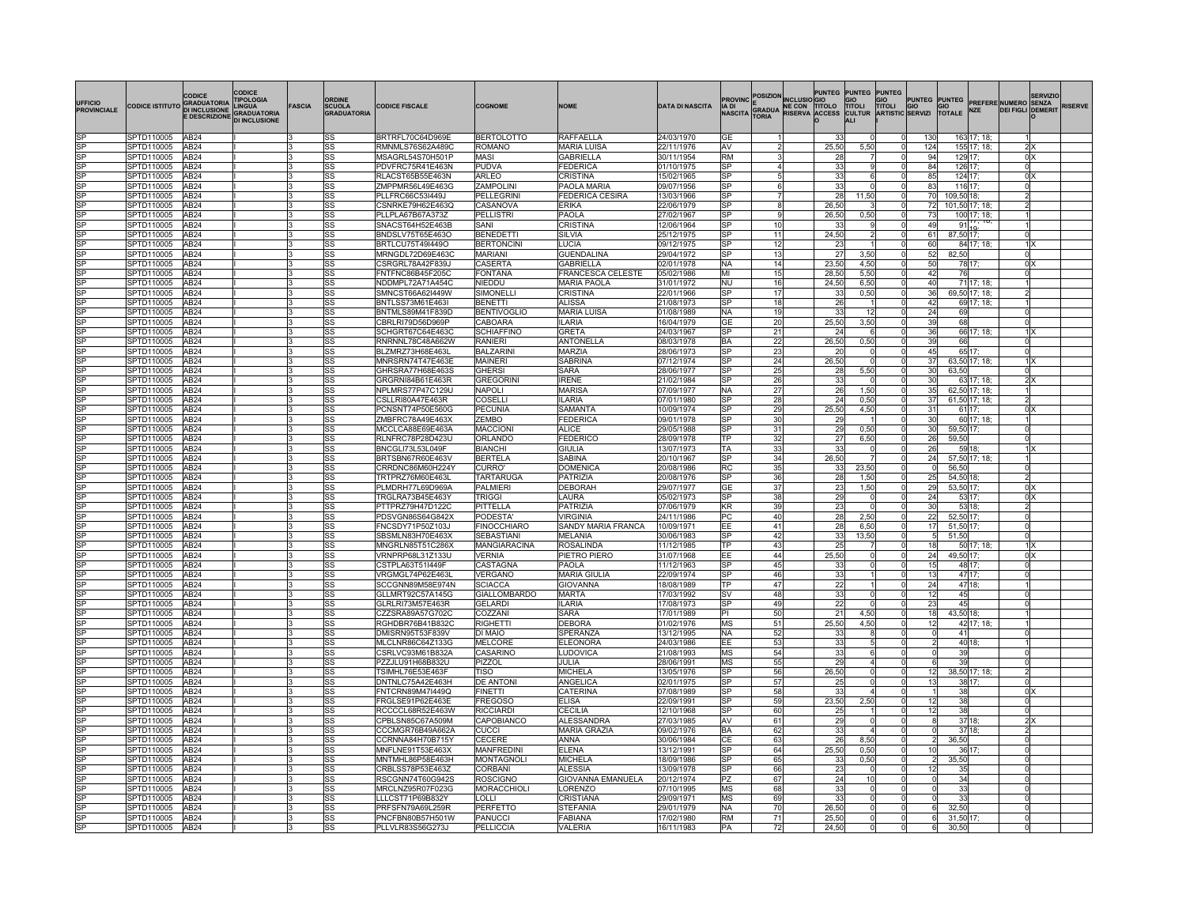| <b>UFFICIO</b><br><b>PROVINCIALE</b> | CODICE ISTITUTO GRADUATORIA | CODICE<br>E DESCRIZIONE DI INCLUSIONE | CODICE<br><b>TIPOLOGIA</b> | <b>FASCIA</b> | <b>ORDINE</b><br>SCUOLA<br><b>GRADUATORIA</b> | <b>CODICE FISCALE</b>                | <b>COGNOME</b>                      | <b>NOME</b>                        | <b>DATA DI NASCITA</b>   |                        |          | <b>PROVINC POSIZION INCLUSION DUNTED</b><br>IA DI E GRADUA NE CON TITOLO<br>NASCITA TORIA RISERVA ACCESS | <b>PUNTEG</b> | <b>PUNTEG PUNTEG</b><br>GIO<br><b>TITOLI</b><br>CULTUR<br>ALI |                      |                 |                | GIO PUNTEG PUNTEG PREFERE NUMERO SENZA<br>TITOLI GIO GIO PREFERE NUMERO SENZA<br>ARTISTIC SERVIZI TOTALE NZE DEI FIGLI DOMERIT<br><b>DEI FIGLI DEMERIT</b> | <b>SERVIZIO</b> | <b>RISERVE</b> |
|--------------------------------------|-----------------------------|---------------------------------------|----------------------------|---------------|-----------------------------------------------|--------------------------------------|-------------------------------------|------------------------------------|--------------------------|------------------------|----------|----------------------------------------------------------------------------------------------------------|---------------|---------------------------------------------------------------|----------------------|-----------------|----------------|------------------------------------------------------------------------------------------------------------------------------------------------------------|-----------------|----------------|
|                                      | SPTD110005                  | AB <sub>24</sub>                      |                            |               | lss                                           | BRTRFL70C64D969E                     | <b>BERTOLOTTO</b>                   | RAFFAELLA                          | 24/03/1970               | IGF                    |          |                                                                                                          | 33            |                                                               | 130                  |                 | 163 17: 18:    |                                                                                                                                                            |                 |                |
| SP                                   | SPTD110005                  | AB <sub>24</sub>                      |                            |               | <b>SS</b>                                     | RMNMLS76S62A489C                     | ROMANO                              | <b>MARIA LUISA</b>                 | 22/11/1976               | <b>AV</b>              |          |                                                                                                          | 25,50         | 5,50                                                          | 124                  |                 | 155 17; 18;    | 2X                                                                                                                                                         |                 |                |
| SP                                   | SPTD110005                  | AB <sub>24</sub>                      |                            |               | lss                                           | MSAGRL54S70H501P                     | MASI                                | <b>GABRIELLA</b>                   | 30/11/1954               | RM                     |          |                                                                                                          | 28            |                                                               | 94                   |                 | 129 17;        | 0 <sup>2</sup>                                                                                                                                             |                 |                |
|                                      | SPTD110005<br>SPTD110005    | AB <sub>24</sub><br>AB <sub>24</sub>  |                            |               | SS<br> SS                                     | PDVFRC75R41E463N<br>RLACST65B55E463N | PUDVA<br>ARLEO                      | <b>FEDERICA</b><br>CRISTINA        | 01/10/1975<br>15/02/1965 | <b>SP</b><br><b>SP</b> |          |                                                                                                          | 33<br>33      | 6                                                             | 84<br>85             | 124 17;         | 126 17;        | <sub>0</sub><br>0 <sup>X</sup>                                                                                                                             |                 |                |
| SP                                   | SPTD110005                  | AB <sub>24</sub>                      |                            |               | SS                                            | ZMPPMR56L49E463G                     | ZAMPOLINI                           | PAOLA MARIA                        | 09/07/1956               | <b>SP</b>              |          |                                                                                                          | 33            | - 0                                                           | 83                   | 116 17;         |                | 0                                                                                                                                                          |                 |                |
| <b>SP</b>                            | SPTD110005                  | AB <sub>24</sub>                      |                            |               | SS                                            | PLLFRC66C53I449J                     | PELLEGRIN                           | FEDERICA CESIRA                    | 13/03/1966               | SP                     |          |                                                                                                          | 28            | 11,50                                                         | 70                   | 109,50 18;      |                | $\overline{2}$                                                                                                                                             |                 |                |
| SP                                   | SPTD110005                  | AB <sub>24</sub>                      |                            |               | <b>SS</b>                                     | CSNRKE79H62E463Q                     | CASANOVA                            | <b>ERIKA</b>                       | 22/06/1979               | <b>SP</b>              |          |                                                                                                          | 26.50         |                                                               | 72                   |                 | 101,50 17; 18; | $\overline{2}$                                                                                                                                             |                 |                |
| SP                                   | SPTD110005                  | AB24                                  |                            |               | <b>SS</b>                                     | PLLPLA67B67A373Z                     | PELLISTRI                           | PAOLA                              | 27/02/1967               | lsP                    |          |                                                                                                          | 26.50         | 0,50                                                          | 73                   |                 | 100 17; 18;    |                                                                                                                                                            |                 |                |
| SP                                   | SPTD110005                  | AB24                                  |                            |               | SS                                            | SNACST64H52E463B                     | SANI                                | CRISTINA                           | 12/06/1964               | lSP                    | 10       |                                                                                                          | 33            |                                                               | 49                   |                 | $91_{10}$      |                                                                                                                                                            |                 |                |
|                                      | SPTD110005                  | AB <sub>24</sub>                      |                            |               | SS                                            | BNDSLV75T65E463O                     | BENEDETTI                           | SILVIA                             | 25/12/1975               | SP                     | 11       |                                                                                                          | 24,50         |                                                               | 61                   | 87,50 17;       |                | 0l                                                                                                                                                         |                 |                |
| ISP                                  | SPTD110005<br>SPTD110005    | AB <sub>24</sub><br>AB <sub>24</sub>  |                            |               | SS<br><b>SS</b>                               | BRTLCU75T49I449O<br>MRNGDL72D69E463C | <b>BERTONCINI</b><br><b>MARIANI</b> | <b>LUCIA</b><br><b>GUENDALINA</b>  | 09/12/1975<br>29/04/1972 | lsP<br>SP              | 12<br>13 |                                                                                                          | 23<br>27      | 3,50                                                          | 60<br>52             | 82,50           | 84 17; 18;     | $1$ $\times$<br><sub>0</sub>                                                                                                                               |                 |                |
|                                      | SPTD110005                  | AB <sub>24</sub>                      |                            |               | lss                                           | CSRGRL78A42F839J                     | CASERTA                             | GABRIELLA                          | 02/01/1978               | NA                     | 14       |                                                                                                          | 23.50         | 4.50                                                          | 50                   |                 | 78 17          | 0 <sup>x</sup>                                                                                                                                             |                 |                |
|                                      | SPTD110005                  | AB <sub>24</sub>                      |                            |               | lss                                           | FNTFNC86B45F205C                     | <b>FONTANA</b>                      | FRANCESCA CELESTE                  | 05/02/1986               | MГ                     | 15       |                                                                                                          | 28.50         | 5.50                                                          | 42                   | 76              |                | $\overline{0}$                                                                                                                                             |                 |                |
|                                      | SPTD110005                  | AB <sub>24</sub>                      |                            |               | lss                                           | NDDMPL72A71A454C                     | NIEDDU                              | <b>MARIA PAOLA</b>                 | 31/01/1972               | lΝU                    | 16       |                                                                                                          | 24,50         | 6.50                                                          | 40                   |                 | 71 17; 18      |                                                                                                                                                            |                 |                |
| SP                                   | SPTD110005                  | AB <sub>24</sub>                      |                            |               | lss                                           | SMNCST66A62I449W                     | SIMONELLI                           | CRISTINA                           | 22/01/1966               | lSP                    | 17       |                                                                                                          | 33            | 0,50                                                          | 36                   |                 | 69,50 17; 18;  | $\overline{2}$                                                                                                                                             |                 |                |
|                                      | SPTD110005                  | AB <sub>24</sub>                      |                            |               | SS                                            | BNTLSS73M61E463I                     | <b>BENETTI</b>                      | ALISSA                             | 21/08/1973               | SP                     | 18       |                                                                                                          | 26            |                                                               | 42                   |                 | 69 17; 18;     |                                                                                                                                                            |                 |                |
|                                      | SPTD110005                  | AB <sub>24</sub>                      |                            |               | <b>SS</b>                                     | BNTMLS89M41F839D                     | <b>BENTIVOGLIO</b>                  | <b>MARIA LUISA</b>                 | 01/08/1989               | NA                     | 19       |                                                                                                          | 33            | 12                                                            | 24                   | 69              |                | 0l                                                                                                                                                         |                 |                |
| SP<br>SP                             | SPTD110005<br>SPTD110005    | AB <sub>24</sub><br>AB <sub>24</sub>  |                            |               | SS                                            | CBRLRI79D56D969P                     | CABOARA<br>SCHIAFFINO               | ILARIA<br><b>GRETA</b>             | 16/04/1979<br>24/03/1967 | GE<br><b>SP</b>        | 20       |                                                                                                          | 25,50<br>24   | 3,50<br>-6                                                    | 39<br>36             | 68              |                | 이<br>$1 \times$                                                                                                                                            |                 |                |
| SÞ                                   | SPTD110005                  | AB <sub>24</sub>                      |                            |               | <b>SS</b><br>lss                              | SCHGRT67C64E463C<br>RNRNNL78C48A662W | RANIFRI                             | <b>ANTONELLA</b>                   | 08/03/1978               | BA                     | 21<br>22 |                                                                                                          | 26,50         | 0,50                                                          | 39                   | 66              | 66 17; 18;     | 0l                                                                                                                                                         |                 |                |
| SP                                   | PTD110005                   | AB24                                  |                            |               | SS                                            | BLZMRZ73H68E463L                     | <b>BALZARIN</b>                     | MARZIA                             | 28/06/1973               | lsP                    | 23       |                                                                                                          | 20            | $\Omega$                                                      | 45                   |                 | 65 17;         | $\Omega$                                                                                                                                                   |                 |                |
| SP                                   | PTD110005                   | AB <sub>24</sub>                      |                            |               | SS                                            | MNRSRN74T47E463E                     | <b>MAINERI</b>                      | SABRINA                            | 07/12/1974               | <b>SP</b>              | 24       |                                                                                                          | 26,50         | $^{\circ}$                                                    | 37                   |                 | 63,50 17; 18;  | 1 X                                                                                                                                                        |                 |                |
|                                      | SPTD110005                  | AB24                                  |                            |               | SS                                            | GHRSRA77H68E463S                     | <b>GHERSI</b>                       | SARA                               | 28/06/1977               | <b>SP</b>              | 25       |                                                                                                          | 28            | 5,50                                                          | 30                   | 63,50           |                | $\Omega$                                                                                                                                                   |                 |                |
|                                      | SPTD110005                  | AB24                                  |                            |               | SS                                            | GRGRNI84B61E463R                     | <b>GREGORIN</b>                     | <b>IRENE</b>                       | 21/02/1984               | lsP                    | 26       |                                                                                                          | 33            |                                                               | 30                   |                 | 63 17; 18;     | 2x                                                                                                                                                         |                 |                |
|                                      | SPTD110005                  | AB <sub>24</sub>                      |                            |               | <b>SS</b>                                     | NPLMRS77P47C129U                     | NAPOLI                              | <b>MARISA</b>                      | 07/09/1977               | NA                     | 27       |                                                                                                          | 26            | 1,50                                                          | 35                   |                 | 62,50 17; 18;  |                                                                                                                                                            |                 |                |
|                                      | SPTD110005                  | AB <sub>24</sub>                      |                            |               | <b>SS</b>                                     | CSLLRI80A47E463R                     | COSELLI                             | ILARIA                             | 07/01/1980               | <b>SP</b>              | 28       |                                                                                                          | 24            | 0,50                                                          | $\overline{37}$      |                 | 61,50 17; 18;  | $\overline{2}$                                                                                                                                             |                 |                |
|                                      | SPTD110005                  | AB <sub>24</sub>                      |                            |               | <b>SS</b>                                     | PCNSNT74P50E560G                     | PECUNIA                             | <b>SAMANTA</b>                     | 10/09/1974               | SP                     | 29       |                                                                                                          | 25,50         | 4,50                                                          | 31                   |                 | 61 17;         | 0 <sub>X</sub>                                                                                                                                             |                 |                |
|                                      | SPTD110005                  | AB <sub>24</sub>                      |                            |               | <b>SS</b>                                     | ZMBFRC78A49E463X                     | ZEMBO                               | FEDERICA                           | 09/01/1978               | <b>SP</b>              | 30       |                                                                                                          | 29            |                                                               | 30                   |                 | 60 17; 18;     |                                                                                                                                                            |                 |                |
| SP                                   | SPTD110005                  | AB <sub>24</sub>                      |                            |               | <b>SS</b><br><b>SS</b>                        | MCCLCA88E69E463A                     | <b>MACCION</b>                      | ALICE                              | 29/05/1988               | <b>SP</b><br>lТP       | 31       |                                                                                                          | 29            | 0,50                                                          | 30<br>26             | 59,50 17;       |                | $\Omega$<br>$\Omega$                                                                                                                                       |                 |                |
| SP                                   | SPTD110005<br>SPTD110005    | AB <sub>24</sub><br>AB <sub>24</sub>  |                            |               | <b>SS</b>                                     | RLNFRC78P28D423U<br>BNCGLI73L53L049F | ORLANDC<br><b>BIANCHI</b>           | <b>FEDERICO</b><br><b>GIULIA</b>   | 28/09/1978<br>13/07/1973 | TA                     | 32<br>33 |                                                                                                          | 27<br>33      | 6,50                                                          | 26                   | 59,50           | 59 18:         | $1 \times$                                                                                                                                                 |                 |                |
|                                      | SPTD110005                  | AB <sub>24</sub>                      |                            |               | SS                                            | BRTSBN67R60E463V                     | <b>BERTELA</b>                      | SABINA                             | 20/10/1967               | lSP                    | 34       |                                                                                                          | 26,50         |                                                               | 24                   |                 | 57,50 17; 18;  |                                                                                                                                                            |                 |                |
| SP                                   | SPTD110005                  | AB <sub>24</sub>                      |                            |               | <b>SS</b>                                     | CRRDNC86M60H224Y                     | CURRO'                              | <b>DOMENICA</b>                    | 20/08/1986               | RC                     | 35       |                                                                                                          | 33            | 23,50                                                         | 0l                   | 56,50           |                | 이                                                                                                                                                          |                 |                |
| SP                                   | SPTD110005                  | AB <sub>24</sub>                      |                            |               | SS                                            | TRTPRZ76M60E463L                     | TARTARUGA                           | <b>PATRIZIA</b>                    | 20/08/1976               | lsP                    | 36       |                                                                                                          | 28            | 1.50                                                          | 25                   | 54,50 18        |                | 2                                                                                                                                                          |                 |                |
|                                      | SPTD110005                  | AB <sub>24</sub>                      |                            |               | SS                                            | PLMDRH77L69D969A                     | <b>PALMIERI</b>                     | DEBORAH                            | 29/07/1977               | GE                     | 37       |                                                                                                          | 23            | 1,50                                                          | 29                   | 53,50 17;       |                | 0 <sup>x</sup>                                                                                                                                             |                 |                |
| SP                                   | PTD110005                   | AB <sub>24</sub>                      |                            |               | SS                                            | TRGLRA73B45E463Y                     | <b>TRIGGI</b>                       | AURA                               | 05/02/1973               | lSP                    | 38       |                                                                                                          | 29            | $\Omega$                                                      | $\overline{24}$      |                 | 53 17;         | 0 <sup>X</sup>                                                                                                                                             |                 |                |
| SP                                   | PTD110005                   | AB24                                  |                            |               | SS                                            | PTTPRZ79H47D122C                     | PITTELLA                            | PATRIZIA                           | 07/06/1979               | KR                     | 39       |                                                                                                          | 23            | $\Omega$                                                      | 30                   |                 | 53 18;         | $\overline{2}$                                                                                                                                             |                 |                |
|                                      | SPTD110005                  | AB <sub>24</sub>                      |                            |               | <b>SS</b>                                     | PDSVGN86S64G842X                     | <b>PODESTA</b>                      | VIRGINIA                           | 24/11/1986               | PC                     | 40       |                                                                                                          | 28            | 2.50                                                          | $\overline{22}$      | 52,50 17;       |                | $\overline{0}$                                                                                                                                             |                 |                |
|                                      | SPTD110005                  | AB <sub>24</sub>                      |                            |               | <b>SS</b>                                     | FNCSDY71P50Z103J                     | FINOCCHIARO                         | SANDY MARIA FRANCA                 | 10/09/1971               | EE<br>lsP              | 41       |                                                                                                          | 28            | 6,50                                                          | $\overline{17}$      | 51,50 17;       |                | ol                                                                                                                                                         |                 |                |
|                                      | SPTD110005<br>SPTD110005    | AB <sub>24</sub><br>AB <sub>24</sub>  |                            |               | <b>SS</b><br>lss                              | SBSMLN83H70E463X<br>MNGRLN85T51C286X | SEBASTIANI<br><b>MANGIARACINA</b>   | <b>MELANIA</b><br><b>ROSALINDA</b> | 30/06/1983<br>11/12/1985 | lтp                    | 42<br>43 |                                                                                                          | 33<br>25      | 13,50                                                         | 5 <sub>5</sub><br>18 | 51,50           | 50 17; 18:     | <sub>0</sub><br>$\overline{1}$                                                                                                                             |                 |                |
|                                      | SPTD110005                  | AB <sub>24</sub>                      |                            |               | <b>SS</b>                                     | VRNPRP68L31Z133U                     | VERNIA                              | PIETRO PIERO                       | 31/07/1968               | EE                     | 44       |                                                                                                          | 25,50         |                                                               | 24                   | 49,50 17;       |                | 0 <sup>2</sup>                                                                                                                                             |                 |                |
|                                      | SPTD110005                  | AB <sub>24</sub>                      |                            |               | <b>SS</b>                                     | CSTPLA63T51I449F                     | CASTAGNA                            | PAOLA                              | 11/12/1963               | lsP                    | 45       |                                                                                                          | 33            |                                                               | 15                   |                 | 48 17;         | <sub>0</sub>                                                                                                                                               |                 |                |
|                                      | SPTD110005                  | AB <sub>24</sub>                      |                            |               | <b>SS</b>                                     | VRGMGL74P62E463L                     | <b>/ERGANO</b>                      | <b>MARIA GIULIA</b>                | 22/09/1974               | <b>SP</b>              | 46       |                                                                                                          | 33            |                                                               | 13                   |                 | 47 17;         | $\overline{0}$                                                                                                                                             |                 |                |
|                                      | SPTD110005                  | AB <sub>24</sub>                      |                            |               | <b>SS</b>                                     | SCCGNN89M58E974N                     | <b>SCIACCA</b>                      | <b>GIOVANNA</b>                    | 18/08/1989               | TP                     | 47       |                                                                                                          | 22            |                                                               | 24                   |                 | 47 18;         |                                                                                                                                                            |                 |                |
|                                      | SPTD110005                  | AB <sub>24</sub>                      |                            |               | SS                                            | <b>GLLMRT92C57A145G</b>              | GIALLOMBARDO                        | MARTA                              | 17/03/1992               | lsv                    | 48       |                                                                                                          | 33            |                                                               | 12                   | 45              |                | $\Omega$                                                                                                                                                   |                 |                |
|                                      | SPTD110005                  | AB <sub>24</sub>                      |                            |               | lss                                           | GLRLRI73M57E463R                     | <b>GELARDI</b>                      | <b>LARIA</b>                       | 17/08/1973               | lsP                    | 49       |                                                                                                          | 22            |                                                               | 23                   | 45              |                | $\Omega$                                                                                                                                                   |                 |                |
| SP                                   | SPTD110005                  | AB <sub>24</sub>                      |                            |               | <b>SS</b>                                     | CZZSRA89A57G702C                     | COZZANI                             | SARA                               | 17/01/1989               | IРI                    | 50       |                                                                                                          | 21            | 4.50                                                          | 18                   | 43,50 18        |                |                                                                                                                                                            |                 |                |
| SP                                   | SPTD110005                  | AB <sub>24</sub>                      |                            |               | SS                                            | RGHDBR76B41B832C                     | RIGHETTI                            | <b>DEBORA</b>                      | 01/02/1976               | MS                     | 51       |                                                                                                          | 25,50         | 4,50                                                          | 12                   |                 | 42 17; 18;     |                                                                                                                                                            |                 |                |
| SP                                   | SPTD110005<br>PTD110005     | AB24<br>AB24                          |                            |               | SS<br><b>SS</b>                               | DMISRN95T53F839V<br>MLCLNR86C64Z133G | <b>DI MAIO</b><br><b>MELCORE</b>    | SPERANZA<br>ELEONORA               | 13/12/1995<br>24/03/1986 | <b>NA</b><br>EE        | 52<br>53 |                                                                                                          | 33<br>33      |                                                               |                      | 41              | 40 18;         | $\Omega$                                                                                                                                                   |                 |                |
| SP                                   | SPTD110005                  | AB24                                  |                            |               | <b>SS</b>                                     | CSRLVC93M61B832A                     | CASARINO                            | <b>LUDOVICA</b>                    | 21/08/1993               | MS                     | 54       |                                                                                                          | 33            |                                                               |                      | 39              |                | $\Omega$                                                                                                                                                   |                 |                |
|                                      | SPTD110005                  | AB24                                  |                            |               | SS                                            | PZZJLU91H68B832U                     | PIZZOL                              | JULIA                              | 28/06/1991               | MS                     | 55       |                                                                                                          | 29            |                                                               |                      | 39              |                | $\Omega$                                                                                                                                                   |                 |                |
|                                      | SPTD110005                  | AB <sub>24</sub>                      |                            |               | lss                                           | TSIMHL76E53E463F                     | <b>riso</b>                         | <b>MICHELA</b>                     | 13/05/1976               | <b>SP</b>              | 56       |                                                                                                          | 26,50         | $\mathbf 0$                                                   | 12                   |                 | 38,50 17; 18;  | 2 <sup>1</sup>                                                                                                                                             |                 |                |
|                                      | SPTD110005                  | AB <sub>24</sub>                      |                            |               | lss                                           | DNTNLC75A42E463H                     | <b>DE ANTONI</b>                    | ANGELICA                           | 02/01/1975               | <b>SP</b>              | 57       |                                                                                                          | 25            | $\mathbf 0$                                                   | 13                   |                 | 38 17;         | $\overline{0}$                                                                                                                                             |                 |                |
| SP                                   | SPTD110005                  | AB <sub>24</sub>                      |                            |               | <b>SS</b>                                     | FNTCRN89M47I449Q                     | <b>FINETTI</b>                      | CATERINA                           | 07/08/1989               | SP                     | 58       |                                                                                                          | 33            |                                                               |                      | 38 <sup>1</sup> |                | 0 <sup>X</sup>                                                                                                                                             |                 |                |
|                                      | SPTD110005                  | AB <sub>24</sub>                      |                            |               | <b>SS</b>                                     | FRGLSE91P62E463E                     | <b>FREGOSO</b>                      | <b>FLISA</b>                       | 22/09/1991               | <b>SP</b>              | 59       |                                                                                                          | 23,50         | 2,50                                                          | 12                   | 38              |                | $\overline{0}$                                                                                                                                             |                 |                |
|                                      | SPTD110005                  | AB <sub>24</sub>                      |                            |               | <b>SS</b>                                     | RCCCCL68R52E463W                     | RICCIARDI                           | CECILIA                            | 12/10/1968               | SP                     | 60       |                                                                                                          | 25            |                                                               | 12                   | 38              |                | $\overline{0}$                                                                                                                                             |                 |                |
| SP                                   | SPTD110005                  | AB <sub>24</sub>                      |                            |               | <b>SS</b>                                     | CPBLSN85C67A509M                     | CAPOBIANCO                          | ALESSANDRA                         | 27/03/1985               | AV                     | 61       |                                                                                                          | 29            |                                                               |                      |                 | 37 18          | 2x                                                                                                                                                         |                 |                |
|                                      | SPTD110005                  | AB <sub>24</sub>                      |                            |               | <b>SS</b>                                     | CCCMGR76B49A662A                     | CUCCI                               | <b>MARIA GRAZIA</b>                | 09/02/1976               | BA                     | 62       |                                                                                                          | 33            |                                                               |                      |                 | 37 18          | 2 <sup>1</sup>                                                                                                                                             |                 |                |
|                                      | SPTD110005                  | AB <sub>24</sub>                      |                            |               | lss                                           | CCRNNA84H70B715Y                     | CECERE                              | ANNA<br><b>FLENA</b>               | 30/06/1984               | IСE<br>lSP             | 63       |                                                                                                          | 26            | 8,50                                                          |                      | 36,50           |                | $\Omega$                                                                                                                                                   |                 |                |
| SP                                   | SPTD110005<br>SPTD110005    | AB <sub>24</sub><br>AB <sub>24</sub>  |                            |               | lss<br><b>SS</b>                              | MNFLNE91T53E463X<br>MNTMHL86P58E463H | <b>MANFREDINI</b><br>MONTAGNOLI     | <b>MICHELA</b>                     | 13/12/1991<br>18/09/1986 | <b>SP</b>              | 64<br>65 |                                                                                                          | 25,50<br>33   | 0,50                                                          | 10 <sup>1</sup><br>2 | 35,50           | 36 17          | $\Omega$<br>0                                                                                                                                              |                 |                |
| $\overline{SP}$                      | SPTD110005                  | AB <sub>24</sub>                      |                            |               | SS                                            | CRBLSS78P53E463Z                     | CORBANI                             | <b>ALESSIA</b>                     | 13/09/1978               | <b>SP</b>              | 66       |                                                                                                          | 23            | 0,50                                                          | 12                   | 35              |                | 0l                                                                                                                                                         |                 |                |
|                                      | SPTD110005                  | AB <sub>24</sub>                      |                            |               | SS                                            | RSCGNN74T60G942S                     | <b>ROSCIGNO</b>                     | GIOVANNA EMANUELA                  | 20/12/1974               | PZ                     | 67       |                                                                                                          | 24            | 10                                                            |                      | 34              |                | 0l                                                                                                                                                         |                 |                |
| SP                                   | PTD110005                   | AB <sub>24</sub>                      |                            |               | SS                                            | MRCLNZ95R07F023G                     | <b>MORACCHIOLI</b>                  | ORENZO                             | 07/10/1995               | MS                     | 68       |                                                                                                          | 33            | $\Omega$                                                      |                      | 33              |                | <sub>0</sub>                                                                                                                                               |                 |                |
|                                      | SPTD110005                  | AB24                                  |                            |               | <b>SS</b>                                     | <b>LLLCST71P69B832Y</b>              | 011                                 | CRISTIANA                          | 29/09/1971               | MS                     | 69       |                                                                                                          | 33            |                                                               |                      | 33              |                | $\Omega$                                                                                                                                                   |                 |                |
|                                      | SPTD110005                  | AB <sub>24</sub>                      |                            |               | lss                                           | PRFSFN79A69L259R                     | PERFETTO                            | <b>STEFANIA</b>                    | 29/01/1979               | NA                     | 70       |                                                                                                          | 26,50         |                                                               | ĥ                    | 32,50           |                | $\Omega$                                                                                                                                                   |                 |                |
|                                      | SPTD110005                  | AB <sub>24</sub>                      |                            |               | lss                                           | PNCFBN80B57H501W                     | <b>PANUCCI</b>                      | <b>FABIANA</b>                     | 17/02/1980               | RM                     | 71       |                                                                                                          | 25,50         |                                                               |                      | 31,50 17        |                | $\Omega$                                                                                                                                                   |                 |                |
| SP                                   | SPTD110005                  | AB <sub>24</sub>                      |                            |               | <b>SS</b>                                     | PLLVLR83S56G273J                     | <b>PELLICCIA</b>                    | VALERIA                            | 16/11/1983               | <b>PA</b>              | 72       |                                                                                                          | 24,50         | $\Omega$                                                      | 6l                   | 30,50           |                | nl                                                                                                                                                         |                 |                |